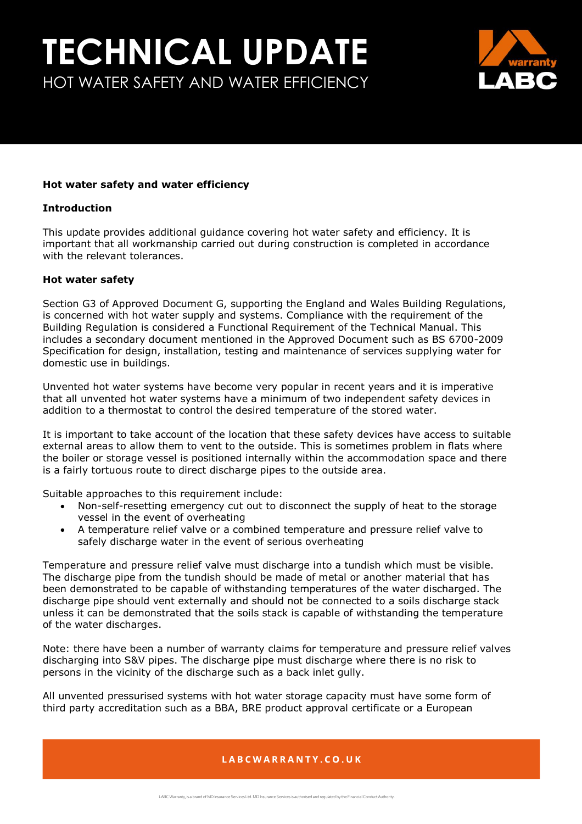## **TECHNICAL UPDATE** HOT WATER SAFETY AND WATER EFFICIENCY



#### **Hot water safety and water efficiency**

#### **Introduction**

This update provides additional guidance covering hot water safety and efficiency. It is important that all workmanship carried out during construction is completed in accordance with the relevant tolerances.

#### **Hot water safety**

Section G3 of Approved Document G, supporting the England and Wales Building Regulations, is concerned with hot water supply and systems. Compliance with the requirement of the Building Regulation is considered a Functional Requirement of the Technical Manual. This includes a secondary document mentioned in the Approved Document such as BS 6700-2009 Specification for design, installation, testing and maintenance of services supplying water for domestic use in buildings.

Unvented hot water systems have become very popular in recent years and it is imperative that all unvented hot water systems have a minimum of two independent safety devices in addition to a thermostat to control the desired temperature of the stored water.

It is important to take account of the location that these safety devices have access to suitable external areas to allow them to vent to the outside. This is sometimes problem in flats where the boiler or storage vessel is positioned internally within the accommodation space and there is a fairly tortuous route to direct discharge pipes to the outside area.

Suitable approaches to this requirement include:

- Non-self-resetting emergency cut out to disconnect the supply of heat to the storage vessel in the event of overheating
- A temperature relief valve or a combined temperature and pressure relief valve to safely discharge water in the event of serious overheating

Temperature and pressure relief valve must discharge into a tundish which must be visible. The discharge pipe from the tundish should be made of metal or another material that has been demonstrated to be capable of withstanding temperatures of the water discharged. The discharge pipe should vent externally and should not be connected to a soils discharge stack unless it can be demonstrated that the soils stack is capable of withstanding the temperature of the water discharges.

Note: there have been a number of warranty claims for temperature and pressure relief valves discharging into S&V pipes. The discharge pipe must discharge where there is no risk to persons in the vicinity of the discharge such as a back inlet gully.

All unvented pressurised systems with hot water storage capacity must have some form of third party accreditation such as a BBA, BRE product approval certificate or a European

### LABCWARRANTY.CO.UK